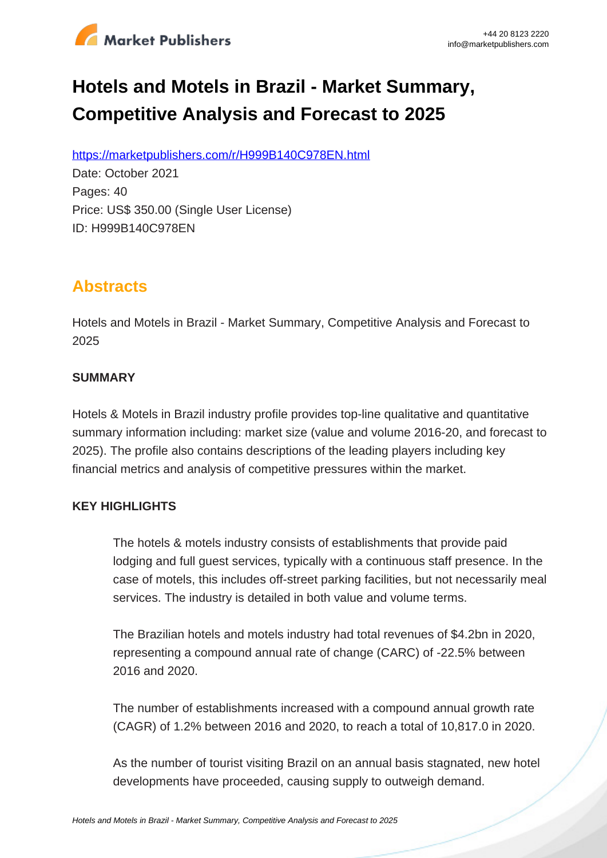

# **Hotels and Motels in Brazil - Market Summary, Competitive Analysis and Forecast to 2025**

https://marketpublishers.com/r/H999B140C978EN.html

Date: October 2021 Pages: 40 Price: US\$ 350.00 (Single User License) ID: H999B140C978EN

# **Abstracts**

Hotels and Motels in Brazil - Market Summary, Competitive Analysis and Forecast to 2025

#### **SUMMARY**

Hotels & Motels in Brazil industry profile provides top-line qualitative and quantitative summary information including: market size (value and volume 2016-20, and forecast to 2025). The profile also contains descriptions of the leading players including key financial metrics and analysis of competitive pressures within the market.

### **KEY HIGHLIGHTS**

The hotels & motels industry consists of establishments that provide paid lodging and full guest services, typically with a continuous staff presence. In the case of motels, this includes off-street parking facilities, but not necessarily meal services. The industry is detailed in both value and volume terms.

The Brazilian hotels and motels industry had total revenues of \$4.2bn in 2020, representing a compound annual rate of change (CARC) of -22.5% between 2016 and 2020.

The number of establishments increased with a compound annual growth rate (CAGR) of 1.2% between 2016 and 2020, to reach a total of 10,817.0 in 2020.

As the number of tourist visiting Brazil on an annual basis stagnated, new hotel developments have proceeded, causing supply to outweigh demand.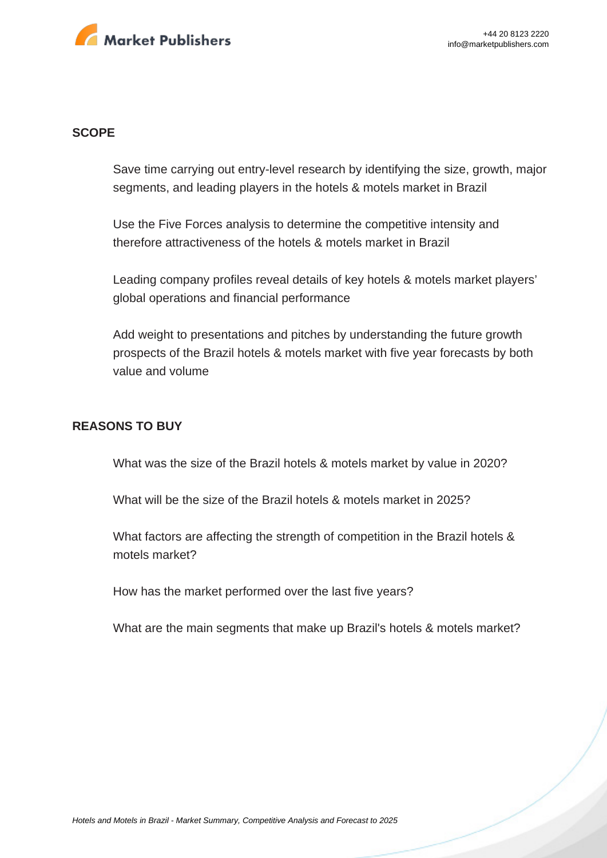

#### **SCOPE**

Save time carrying out entry-level research by identifying the size, growth, major segments, and leading players in the hotels & motels market in Brazil

Use the Five Forces analysis to determine the competitive intensity and therefore attractiveness of the hotels & motels market in Brazil

Leading company profiles reveal details of key hotels & motels market players' global operations and financial performance

Add weight to presentations and pitches by understanding the future growth prospects of the Brazil hotels & motels market with five year forecasts by both value and volume

#### **REASONS TO BUY**

What was the size of the Brazil hotels & motels market by value in 2020?

What will be the size of the Brazil hotels & motels market in 2025?

What factors are affecting the strength of competition in the Brazil hotels & motels market?

How has the market performed over the last five years?

What are the main segments that make up Brazil's hotels & motels market?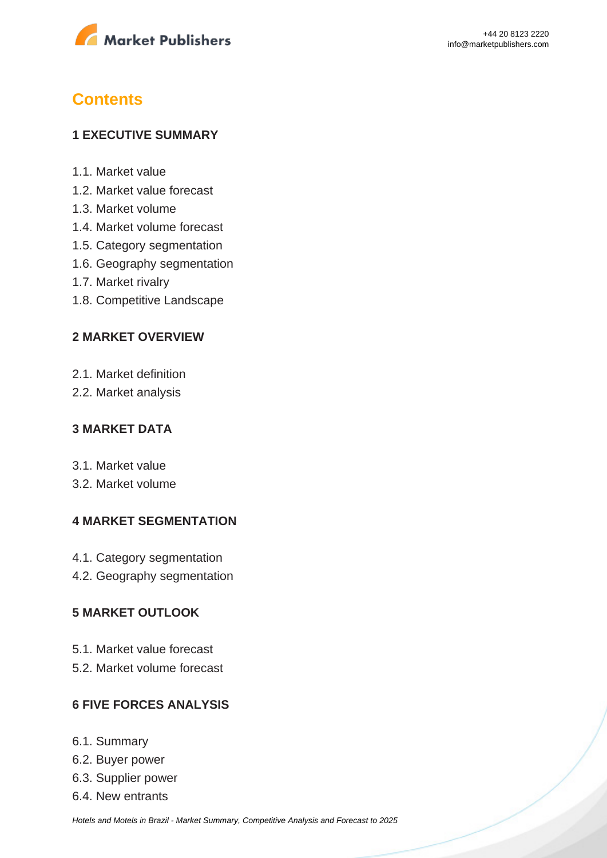

# **Contents**

#### **1 EXECUTIVE SUMMARY**

- 1.1. Market value
- 1.2. Market value forecast
- 1.3. Market volume
- 1.4. Market volume forecast
- 1.5. Category segmentation
- 1.6. Geography segmentation
- 1.7. Market rivalry
- 1.8. Competitive Landscape

#### **2 MARKET OVERVIEW**

- 2.1. Market definition
- 2.2. Market analysis

#### **3 MARKET DATA**

- 3.1. Market value
- 3.2. Market volume

#### **4 MARKET SEGMENTATION**

- 4.1. Category segmentation
- 4.2. Geography segmentation

#### **5 MARKET OUTLOOK**

- 5.1. Market value forecast
- 5.2. Market volume forecast

#### **6 FIVE FORCES ANALYSIS**

- 6.1. Summary
- 6.2. Buyer power
- 6.3. Supplier power
- 6.4. New entrants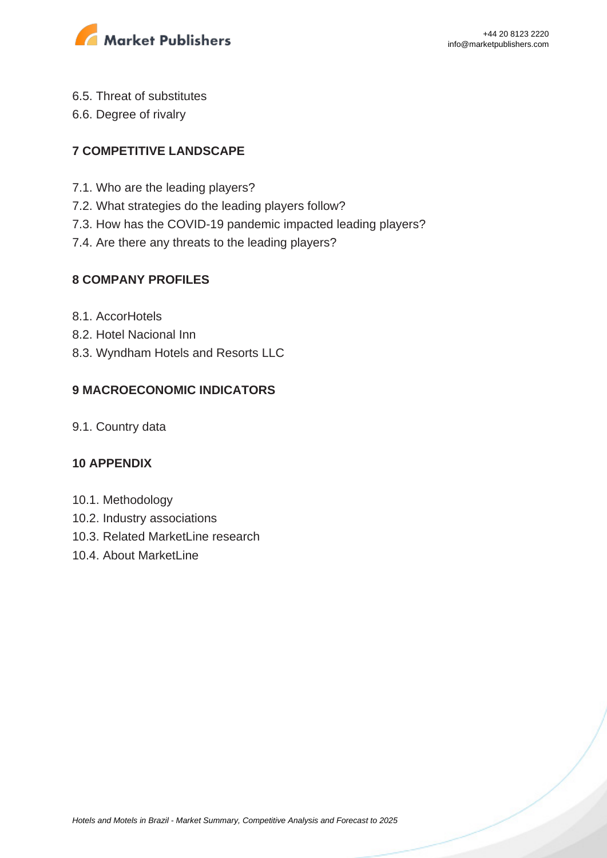

- 6.5. Threat of substitutes
- 6.6. Degree of rivalry

### **7 COMPETITIVE LANDSCAPE**

- 7.1. Who are the leading players?
- 7.2. What strategies do the leading players follow?
- 7.3. How has the COVID-19 pandemic impacted leading players?
- 7.4. Are there any threats to the leading players?

#### **8 COMPANY PROFILES**

- 8.1. AccorHotels
- 8.2. Hotel Nacional Inn
- 8.3. Wyndham Hotels and Resorts LLC

### **9 MACROECONOMIC INDICATORS**

9.1. Country data

#### **10 APPENDIX**

- 10.1. Methodology
- 10.2. Industry associations
- 10.3. Related MarketLine research
- 10.4. About MarketLine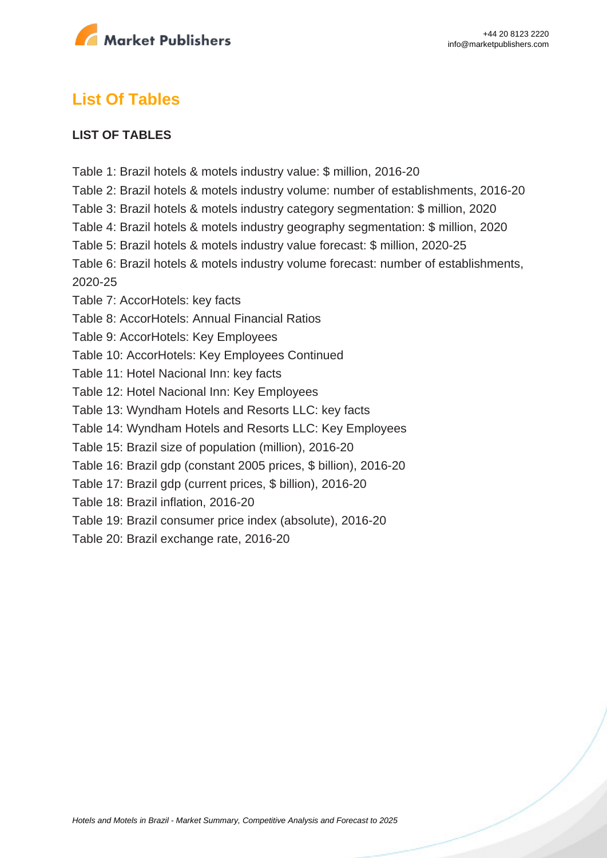

## **List Of Tables**

#### **LIST OF TABLES**

Table 1: Brazil hotels & motels industry value: \$ million, 2016-20

Table 2: Brazil hotels & motels industry volume: number of establishments, 2016-20

- Table 3: Brazil hotels & motels industry category segmentation: \$ million, 2020
- Table 4: Brazil hotels & motels industry geography segmentation: \$ million, 2020

Table 5: Brazil hotels & motels industry value forecast: \$ million, 2020-25

Table 6: Brazil hotels & motels industry volume forecast: number of establishments, 2020-25

Table 7: AccorHotels: key facts

Table 8: AccorHotels: Annual Financial Ratios

Table 9: AccorHotels: Key Employees

Table 10: AccorHotels: Key Employees Continued

Table 11: Hotel Nacional Inn: key facts

Table 12: Hotel Nacional Inn: Key Employees

Table 13: Wyndham Hotels and Resorts LLC: key facts

Table 14: Wyndham Hotels and Resorts LLC: Key Employees

Table 15: Brazil size of population (million), 2016-20

Table 16: Brazil gdp (constant 2005 prices, \$ billion), 2016-20

Table 17: Brazil gdp (current prices, \$ billion), 2016-20

Table 18: Brazil inflation, 2016-20

Table 19: Brazil consumer price index (absolute), 2016-20

Table 20: Brazil exchange rate, 2016-20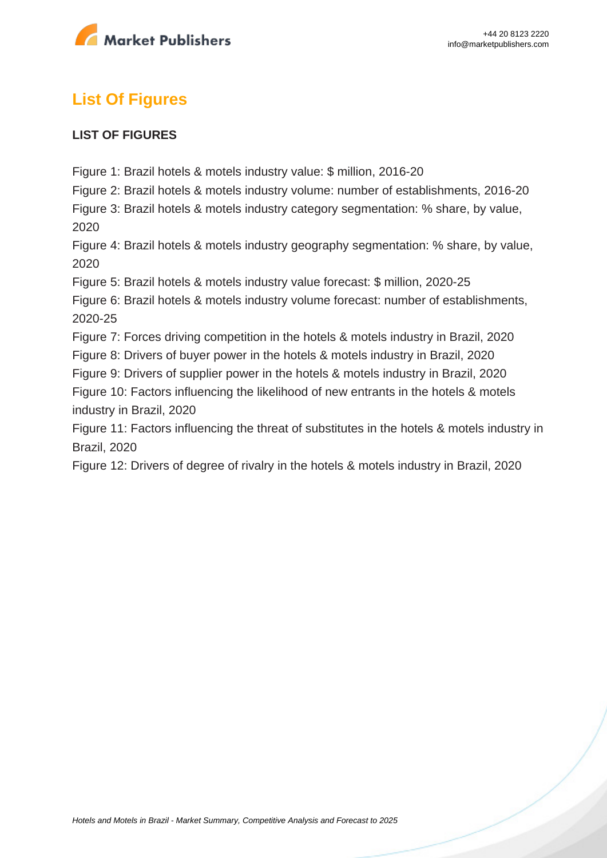

# **List Of Figures**

#### **LIST OF FIGURES**

Figure 1: Brazil hotels & motels industry value: \$ million, 2016-20

Figure 2: Brazil hotels & motels industry volume: number of establishments, 2016-20

Figure 3: Brazil hotels & motels industry category segmentation: % share, by value, 2020

Figure 4: Brazil hotels & motels industry geography segmentation: % share, by value, 2020

Figure 5: Brazil hotels & motels industry value forecast: \$ million, 2020-25

Figure 6: Brazil hotels & motels industry volume forecast: number of establishments, 2020-25

Figure 7: Forces driving competition in the hotels & motels industry in Brazil, 2020

Figure 8: Drivers of buyer power in the hotels & motels industry in Brazil, 2020

Figure 9: Drivers of supplier power in the hotels & motels industry in Brazil, 2020

Figure 10: Factors influencing the likelihood of new entrants in the hotels & motels industry in Brazil, 2020

Figure 11: Factors influencing the threat of substitutes in the hotels & motels industry in Brazil, 2020

Figure 12: Drivers of degree of rivalry in the hotels & motels industry in Brazil, 2020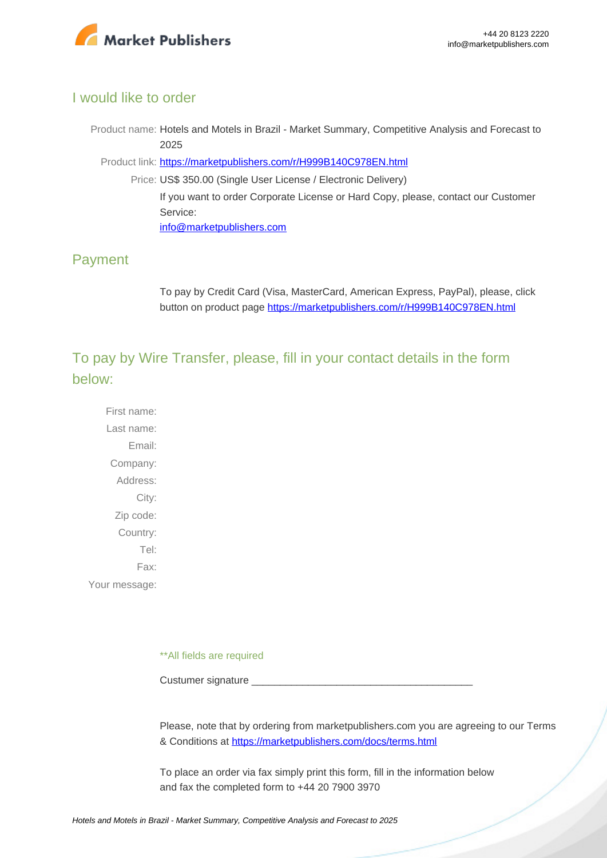

#### I would like to order

Product name: Hotels and Motels in Brazil - Market Summary, Competitive Analysis and Forecast to 2025

Product link: [https://marketpublishers.com/r/H999B140C978EN.html](https://marketpublishers.com/report/services/hotels/hotels-n-motels-in-brazil-market-summary-competitive-analysis-n-forecast-to-2025.html)

Price: US\$ 350.00 (Single User License / Electronic Delivery) If you want to order Corporate License or Hard Copy, please, contact our Customer Service:

[info@marketpublishers.com](mailto:info@marketpublishers.com)

### Payment

To pay by Credit Card (Visa, MasterCard, American Express, PayPal), please, click button on product page [https://marketpublishers.com/r/H999B140C978EN.html](https://marketpublishers.com/report/services/hotels/hotels-n-motels-in-brazil-market-summary-competitive-analysis-n-forecast-to-2025.html)

To pay by Wire Transfer, please, fill in your contact details in the form below:

First name: Last name: Email: Company: Address: City: Zip code: Country: Tel: Fax: Your message:

\*\*All fields are required

Custumer signature

Please, note that by ordering from marketpublishers.com you are agreeing to our Terms & Conditions at<https://marketpublishers.com/docs/terms.html>

To place an order via fax simply print this form, fill in the information below and fax the completed form to +44 20 7900 3970